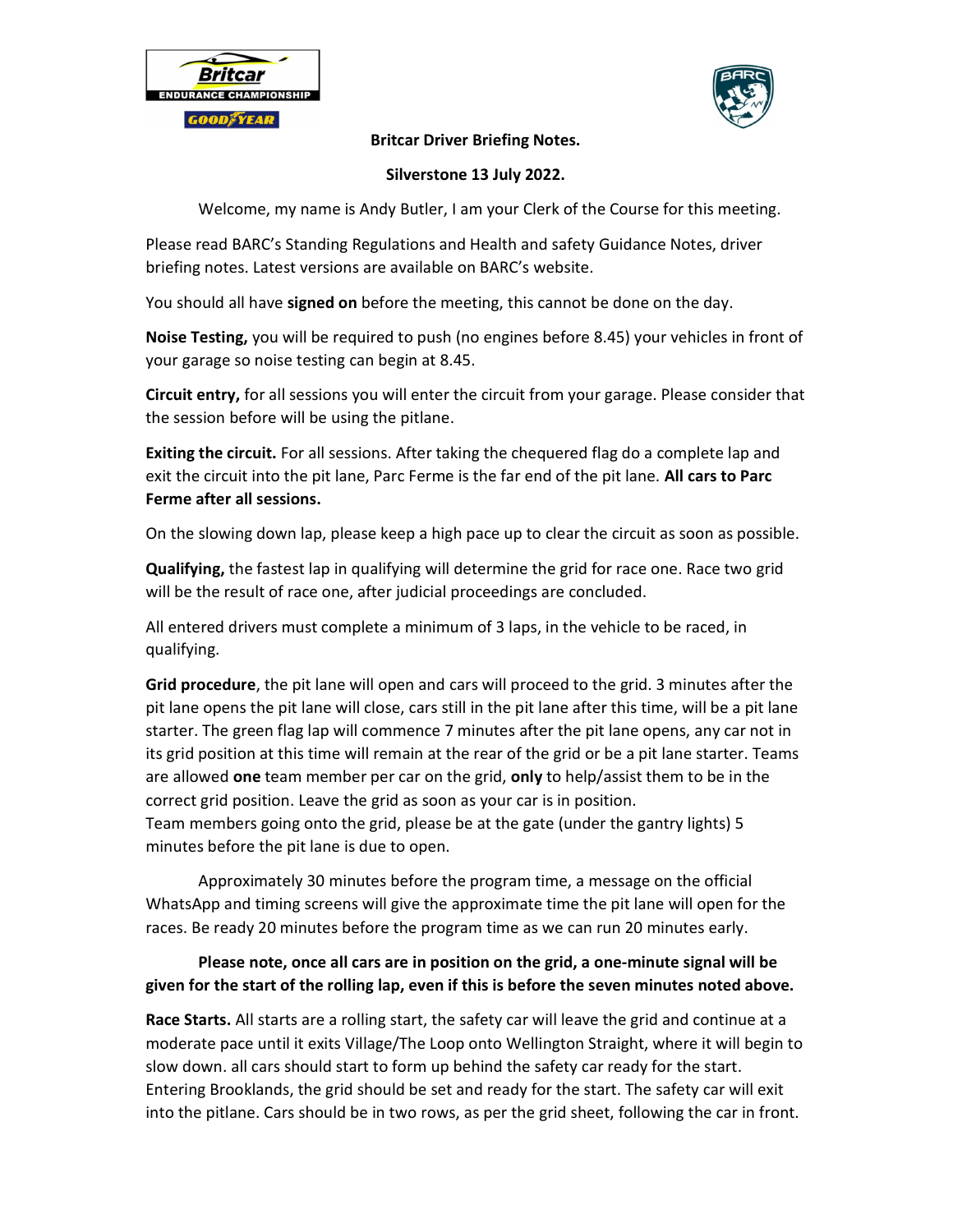



#### Britcar Driver Briefing Notes.

### Silverstone 13 July 2022.

Welcome, my name is Andy Butler, I am your Clerk of the Course for this meeting.

Please read BARC's Standing Regulations and Health and safety Guidance Notes, driver briefing notes. Latest versions are available on BARC's website.

You should all have signed on before the meeting, this cannot be done on the day.

Noise Testing, you will be required to push (no engines before 8.45) your vehicles in front of your garage so noise testing can begin at 8.45.

Circuit entry, for all sessions you will enter the circuit from your garage. Please consider that the session before will be using the pitlane.

Exiting the circuit. For all sessions. After taking the chequered flag do a complete lap and exit the circuit into the pit lane, Parc Ferme is the far end of the pit lane. All cars to Parc Ferme after all sessions.

On the slowing down lap, please keep a high pace up to clear the circuit as soon as possible.

Qualifying, the fastest lap in qualifying will determine the grid for race one. Race two grid will be the result of race one, after judicial proceedings are concluded.

All entered drivers must complete a minimum of 3 laps, in the vehicle to be raced, in qualifying.

Grid procedure, the pit lane will open and cars will proceed to the grid. 3 minutes after the pit lane opens the pit lane will close, cars still in the pit lane after this time, will be a pit lane starter. The green flag lap will commence 7 minutes after the pit lane opens, any car not in its grid position at this time will remain at the rear of the grid or be a pit lane starter. Teams are allowed one team member per car on the grid, only to help/assist them to be in the correct grid position. Leave the grid as soon as your car is in position. Team members going onto the grid, please be at the gate (under the gantry lights) 5 minutes before the pit lane is due to open.

 Approximately 30 minutes before the program time, a message on the official WhatsApp and timing screens will give the approximate time the pit lane will open for the races. Be ready 20 minutes before the program time as we can run 20 minutes early.

## Please note, once all cars are in position on the grid, a one-minute signal will be given for the start of the rolling lap, even if this is before the seven minutes noted above.

Race Starts. All starts are a rolling start, the safety car will leave the grid and continue at a moderate pace until it exits Village/The Loop onto Wellington Straight, where it will begin to slow down. all cars should start to form up behind the safety car ready for the start. Entering Brooklands, the grid should be set and ready for the start. The safety car will exit into the pitlane. Cars should be in two rows, as per the grid sheet, following the car in front.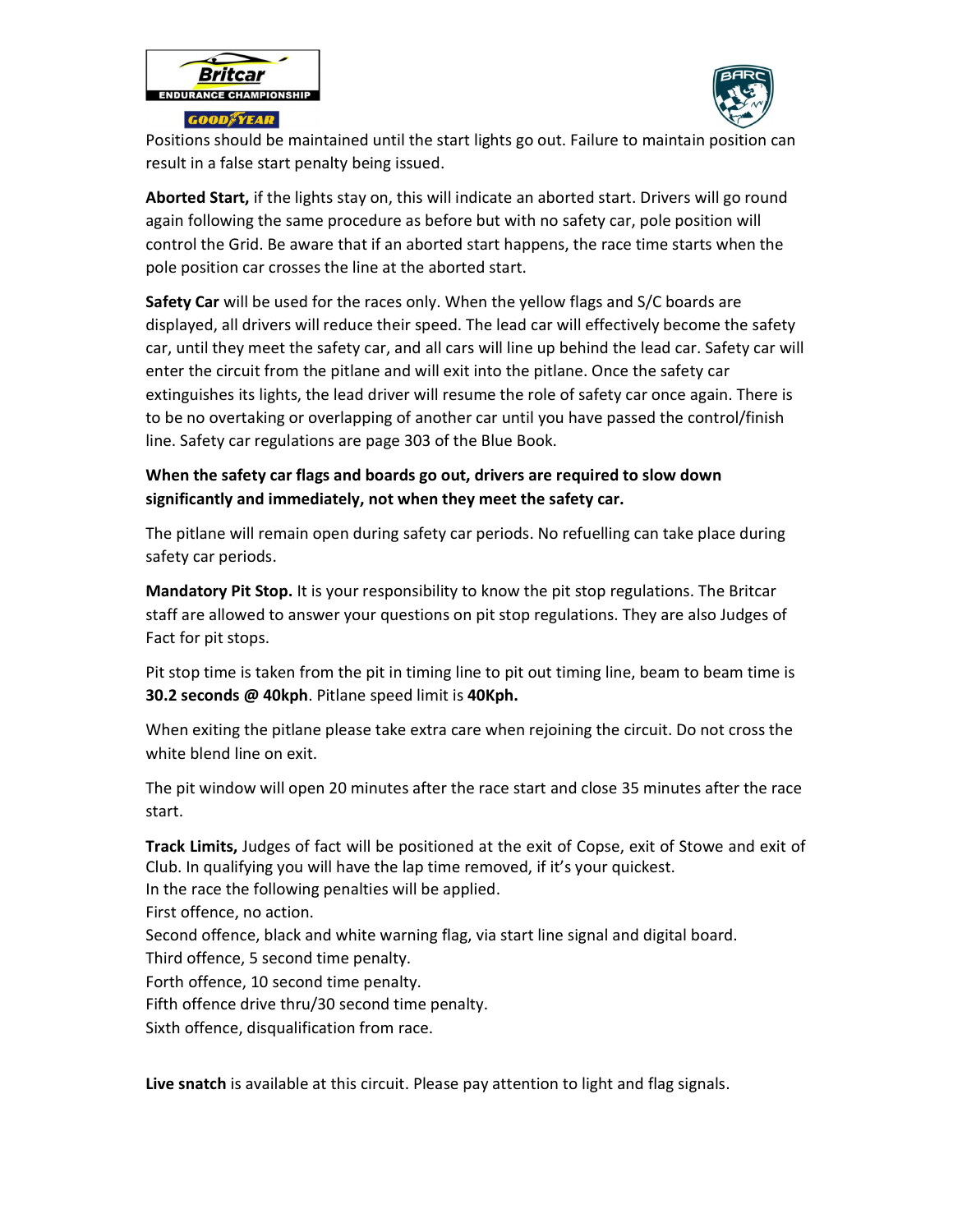



Positions should be maintained until the start lights go out. Failure to maintain position can result in a false start penalty being issued.

Aborted Start, if the lights stay on, this will indicate an aborted start. Drivers will go round again following the same procedure as before but with no safety car, pole position will control the Grid. Be aware that if an aborted start happens, the race time starts when the pole position car crosses the line at the aborted start.

Safety Car will be used for the races only. When the yellow flags and S/C boards are displayed, all drivers will reduce their speed. The lead car will effectively become the safety car, until they meet the safety car, and all cars will line up behind the lead car. Safety car will enter the circuit from the pitlane and will exit into the pitlane. Once the safety car extinguishes its lights, the lead driver will resume the role of safety car once again. There is to be no overtaking or overlapping of another car until you have passed the control/finish line. Safety car regulations are page 303 of the Blue Book.

# When the safety car flags and boards go out, drivers are required to slow down significantly and immediately, not when they meet the safety car.

The pitlane will remain open during safety car periods. No refuelling can take place during safety car periods.

Mandatory Pit Stop. It is your responsibility to know the pit stop regulations. The Britcar staff are allowed to answer your questions on pit stop regulations. They are also Judges of Fact for pit stops.

Pit stop time is taken from the pit in timing line to pit out timing line, beam to beam time is 30.2 seconds @ 40kph. Pitlane speed limit is 40Kph.

When exiting the pitlane please take extra care when rejoining the circuit. Do not cross the white blend line on exit.

The pit window will open 20 minutes after the race start and close 35 minutes after the race start.

Track Limits, Judges of fact will be positioned at the exit of Copse, exit of Stowe and exit of Club. In qualifying you will have the lap time removed, if it's your quickest. In the race the following penalties will be applied.

First offence, no action.

Second offence, black and white warning flag, via start line signal and digital board.

Third offence, 5 second time penalty.

Forth offence, 10 second time penalty.

Fifth offence drive thru/30 second time penalty.

Sixth offence, disqualification from race.

Live snatch is available at this circuit. Please pay attention to light and flag signals.